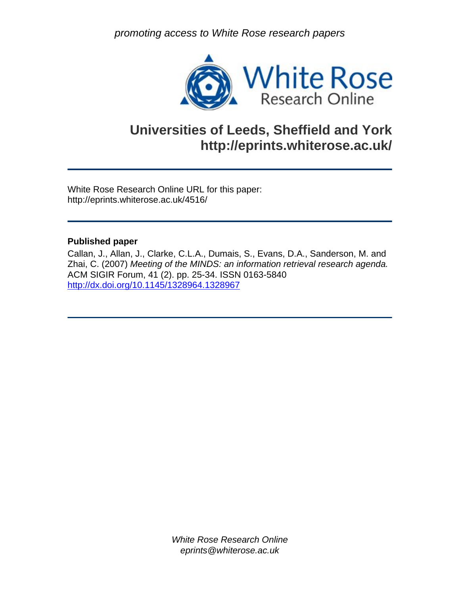*promoting access to White Rose research papers* 



# **Universities of Leeds, Sheffield and York http://eprints.whiterose.ac.uk/**

White Rose Research Online URL for this paper: http://eprints.whiterose.ac.uk/4516/

#### **Published paper**

Callan, J., Allan, J., Clarke, C.L.A., Dumais, S., Evans, D.A., Sanderson, M. and Zhai, C. (2007) *Meeting of the MINDS: an information retrieval research agenda.* ACM SIGIR Forum, 41 (2). pp. 25-34. ISSN 0163-5840 <http://dx.doi.org/10.1145/1328964.1328967>

> *White Rose Research Online eprints@whiterose.ac.uk*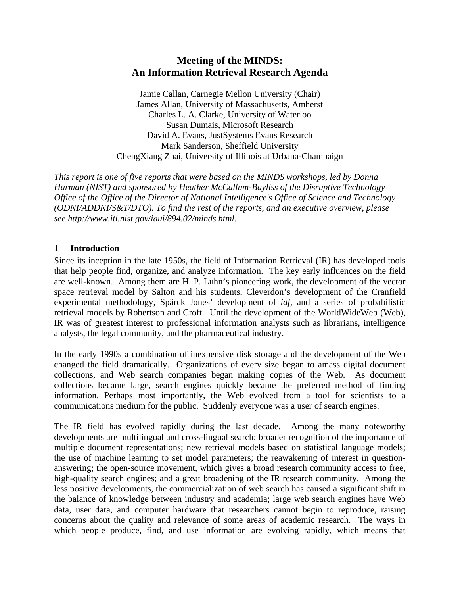# **Meeting of the MINDS: An Information Retrieval Research Agenda**

Jamie Callan, Carnegie Mellon University (Chair) James Allan, University of Massachusetts, Amherst Charles L. A. Clarke, University of Waterloo Susan Dumais, Microsoft Research David A. Evans, JustSystems Evans Research Mark Sanderson, Sheffield University ChengXiang Zhai, University of Illinois at Urbana-Champaign

*This report is one of five reports that were based on the MINDS workshops, led by Donna Harman (NIST) and sponsored by Heather McCallum-Bayliss of the Disruptive Technology Office of the Office of the Director of National Intelligence's Office of Science and Technology (ODNI/ADDNI/S&T/DTO). To find the rest of the reports, and an executive overview, please see http://www.itl.nist.gov/iaui/894.02/minds.html.*

# **1 Introduction**

Since its inception in the late 1950s, the field of Information Retrieval (IR) has developed tools that help people find, organize, and analyze information. The key early influences on the field are well-known. Among them are H. P. Luhn's pioneering work, the development of the vector space retrieval model by Salton and his students, Cleverdon's development of the Cranfield experimental methodology, Spärck Jones' development of *idf*, and a series of probabilistic retrieval models by Robertson and Croft. Until the development of the WorldWideWeb (Web), IR was of greatest interest to professional information analysts such as librarians, intelligence analysts, the legal community, and the pharmaceutical industry.

In the early 1990s a combination of inexpensive disk storage and the development of the Web changed the field dramatically. Organizations of every size began to amass digital document collections, and Web search companies began making copies of the Web. As document collections became large, search engines quickly became the preferred method of finding information. Perhaps most importantly, the Web evolved from a tool for scientists to a communications medium for the public. Suddenly everyone was a user of search engines.

The IR field has evolved rapidly during the last decade. Among the many noteworthy developments are multilingual and cross-lingual search; broader recognition of the importance of multiple document representations; new retrieval models based on statistical language models; the use of machine learning to set model parameters; the reawakening of interest in questionanswering; the open-source movement, which gives a broad research community access to free, high-quality search engines; and a great broadening of the IR research community. Among the less positive developments, the commercialization of web search has caused a significant shift in the balance of knowledge between industry and academia; large web search engines have Web data, user data, and computer hardware that researchers cannot begin to reproduce, raising concerns about the quality and relevance of some areas of academic research. The ways in which people produce, find, and use information are evolving rapidly, which means that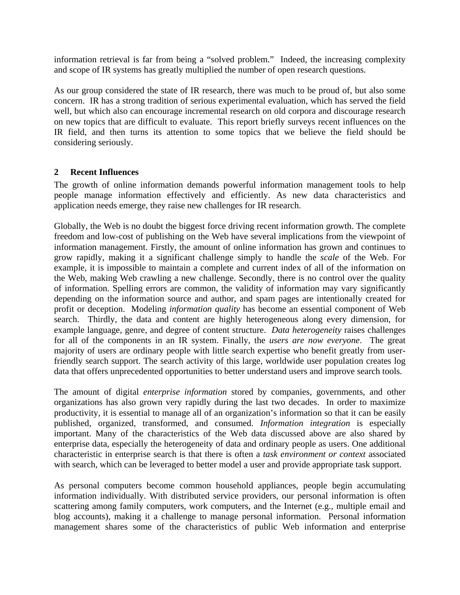information retrieval is far from being a "solved problem." Indeed, the increasing complexity and scope of IR systems has greatly multiplied the number of open research questions.

As our group considered the state of IR research, there was much to be proud of, but also some concern. IR has a strong tradition of serious experimental evaluation, which has served the field well, but which also can encourage incremental research on old corpora and discourage research on new topics that are difficult to evaluate. This report briefly surveys recent influences on the IR field, and then turns its attention to some topics that we believe the field should be considering seriously.

#### **2 Recent Influences**

The growth of online information demands powerful information management tools to help people manage information effectively and efficiently. As new data characteristics and application needs emerge, they raise new challenges for IR research.

Globally, the Web is no doubt the biggest force driving recent information growth. The complete freedom and low-cost of publishing on the Web have several implications from the viewpoint of information management. Firstly, the amount of online information has grown and continues to grow rapidly, making it a significant challenge simply to handle the *scale* of the Web. For example, it is impossible to maintain a complete and current index of all of the information on the Web, making Web crawling a new challenge. Secondly, there is no control over the quality of information. Spelling errors are common, the validity of information may vary significantly depending on the information source and author, and spam pages are intentionally created for profit or deception. Modeling *information quality* has become an essential component of Web search. Thirdly, the data and content are highly heterogeneous along every dimension, for example language, genre, and degree of content structure. *Data heterogeneity* raises challenges for all of the components in an IR system. Finally, the *users are now everyone*. The great majority of users are ordinary people with little search expertise who benefit greatly from userfriendly search support. The search activity of this large, worldwide user population creates log data that offers unprecedented opportunities to better understand users and improve search tools.

The amount of digital *enterprise information* stored by companies, governments, and other organizations has also grown very rapidly during the last two decades. In order to maximize productivity, it is essential to manage all of an organization's information so that it can be easily published, organized, transformed, and consumed. *Information integration* is especially important. Many of the characteristics of the Web data discussed above are also shared by enterprise data, especially the heterogeneity of data and ordinary people as users. One additional characteristic in enterprise search is that there is often a *task environment or context* associated with search, which can be leveraged to better model a user and provide appropriate task support.

As personal computers become common household appliances, people begin accumulating information individually. With distributed service providers, our personal information is often scattering among family computers, work computers, and the Internet (e.g., multiple email and blog accounts), making it a challenge to manage personal information. Personal information management shares some of the characteristics of public Web information and enterprise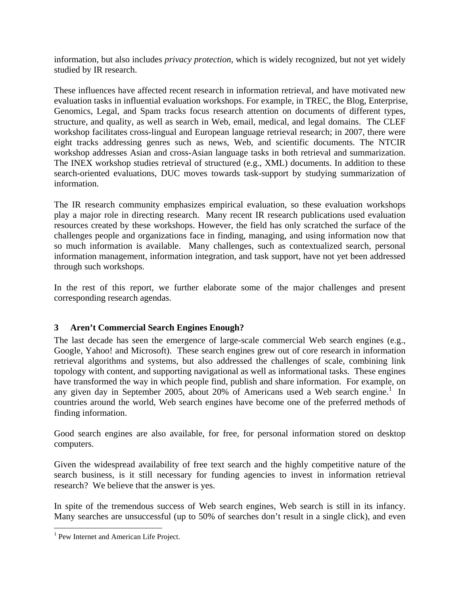information, but also includes *privacy protection*, which is widely recognized, but not yet widely studied by IR research.

These influences have affected recent research in information retrieval, and have motivated new evaluation tasks in influential evaluation workshops. For example, in TREC, the Blog, Enterprise, Genomics, Legal, and Spam tracks focus research attention on documents of different types, structure, and quality, as well as search in Web, email, medical, and legal domains. The CLEF workshop facilitates cross-lingual and European language retrieval research; in 2007, there were eight tracks addressing genres such as news, Web, and scientific documents. The NTCIR workshop addresses Asian and cross-Asian language tasks in both retrieval and summarization. The INEX workshop studies retrieval of structured (e.g., XML) documents. In addition to these search-oriented evaluations, DUC moves towards task-support by studying summarization of information.

The IR research community emphasizes empirical evaluation, so these evaluation workshops play a major role in directing research. Many recent IR research publications used evaluation resources created by these workshops. However, the field has only scratched the surface of the challenges people and organizations face in finding, managing, and using information now that so much information is available. Many challenges, such as contextualized search, personal information management, information integration, and task support, have not yet been addressed through such workshops.

In the rest of this report, we further elaborate some of the major challenges and present corresponding research agendas.

# **3 Aren't Commercial Search Engines Enough?**

The last decade has seen the emergence of large-scale commercial Web search engines (e.g., Google, Yahoo! and Microsoft). These search engines grew out of core research in information retrieval algorithms and systems, but also addressed the challenges of scale, combining link topology with content, and supporting navigational as well as informational tasks. These engines have transformed the way in which people find, publish and share information. For example, on any given day in September 2005, about 20% of Americans used a Web search engine.<sup>1</sup> In countries around the world, Web search engines have become one of the preferred methods of finding information.

Good search engines are also available, for free, for personal information stored on desktop computers.

Given the widespread availability of free text search and the highly competitive nature of the search business, is it still necessary for funding agencies to invest in information retrieval research? We believe that the answer is yes.

In spite of the tremendous success of Web search engines, Web search is still in its infancy. Many searches are unsuccessful (up to 50% of searches don't result in a single click), and even

<u>.</u>

<sup>&</sup>lt;sup>1</sup> Pew Internet and American Life Project.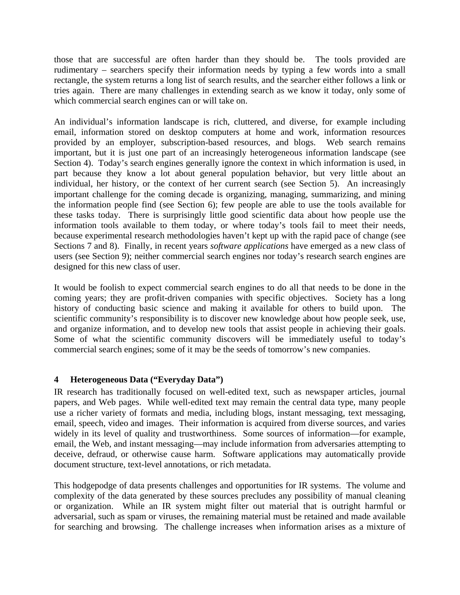those that are successful are often harder than they should be. The tools provided are rudimentary – searchers specify their information needs by typing a few words into a small rectangle, the system returns a long list of search results, and the searcher either follows a link or tries again. There are many challenges in extending search as we know it today, only some of which commercial search engines can or will take on.

An individual's information landscape is rich, cluttered, and diverse, for example including email, information stored on desktop computers at home and work, information resources provided by an employer, subscription-based resources, and blogs. Web search remains important, but it is just one part of an increasingly heterogeneous information landscape (see Section 4). Today's search engines generally ignore the context in which information is used, in part because they know a lot about general population behavior, but very little about an individual, her history, or the context of her current search (see Section 5). An increasingly important challenge for the coming decade is organizing, managing, summarizing, and mining the information people find (see Section 6); few people are able to use the tools available for these tasks today. There is surprisingly little good scientific data about how people use the information tools available to them today, or where today's tools fail to meet their needs, because experimental research methodologies haven't kept up with the rapid pace of change (see Sections 7 and 8). Finally, in recent years *software applications* have emerged as a new class of users (see Section 9); neither commercial search engines nor today's research search engines are designed for this new class of user.

It would be foolish to expect commercial search engines to do all that needs to be done in the coming years; they are profit-driven companies with specific objectives. Society has a long history of conducting basic science and making it available for others to build upon. The scientific community's responsibility is to discover new knowledge about how people seek, use, and organize information, and to develop new tools that assist people in achieving their goals. Some of what the scientific community discovers will be immediately useful to today's commercial search engines; some of it may be the seeds of tomorrow's new companies.

# **4 Heterogeneous Data ("Everyday Data")**

IR research has traditionally focused on well-edited text, such as newspaper articles, journal papers, and Web pages. While well-edited text may remain the central data type, many people use a richer variety of formats and media, including blogs, instant messaging, text messaging, email, speech, video and images. Their information is acquired from diverse sources, and varies widely in its level of quality and trustworthiness. Some sources of information—for example, email, the Web, and instant messaging—may include information from adversaries attempting to deceive, defraud, or otherwise cause harm. Software applications may automatically provide document structure, text-level annotations, or rich metadata.

This hodgepodge of data presents challenges and opportunities for IR systems. The volume and complexity of the data generated by these sources precludes any possibility of manual cleaning or organization. While an IR system might filter out material that is outright harmful or adversarial, such as spam or viruses, the remaining material must be retained and made available for searching and browsing. The challenge increases when information arises as a mixture of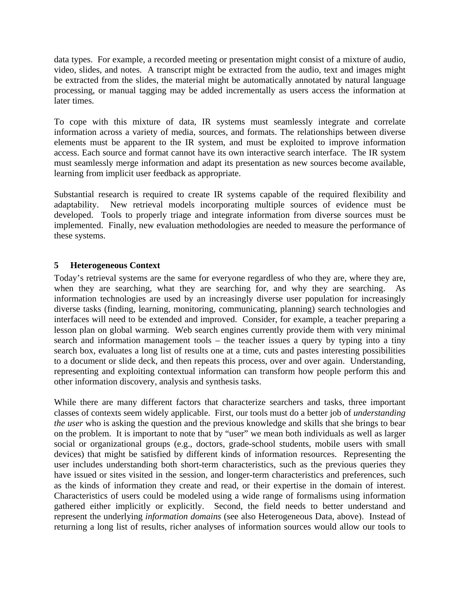data types. For example, a recorded meeting or presentation might consist of a mixture of audio, video, slides, and notes. A transcript might be extracted from the audio, text and images might be extracted from the slides, the material might be automatically annotated by natural language processing, or manual tagging may be added incrementally as users access the information at later times.

To cope with this mixture of data, IR systems must seamlessly integrate and correlate information across a variety of media, sources, and formats. The relationships between diverse elements must be apparent to the IR system, and must be exploited to improve information access. Each source and format cannot have its own interactive search interface. The IR system must seamlessly merge information and adapt its presentation as new sources become available, learning from implicit user feedback as appropriate.

Substantial research is required to create IR systems capable of the required flexibility and adaptability. New retrieval models incorporating multiple sources of evidence must be developed. Tools to properly triage and integrate information from diverse sources must be implemented. Finally, new evaluation methodologies are needed to measure the performance of these systems.

# **5 Heterogeneous Context**

Today's retrieval systems are the same for everyone regardless of who they are, where they are, when they are searching, what they are searching for, and why they are searching. As information technologies are used by an increasingly diverse user population for increasingly diverse tasks (finding, learning, monitoring, communicating, planning) search technologies and interfaces will need to be extended and improved. Consider, for example, a teacher preparing a lesson plan on global warming. Web search engines currently provide them with very minimal search and information management tools – the teacher issues a query by typing into a tiny search box, evaluates a long list of results one at a time, cuts and pastes interesting possibilities to a document or slide deck, and then repeats this process, over and over again. Understanding, representing and exploiting contextual information can transform how people perform this and other information discovery, analysis and synthesis tasks.

While there are many different factors that characterize searchers and tasks, three important classes of contexts seem widely applicable. First, our tools must do a better job of *understanding the user* who is asking the question and the previous knowledge and skills that she brings to bear on the problem. It is important to note that by "user" we mean both individuals as well as larger social or organizational groups (e.g., doctors, grade-school students, mobile users with small devices) that might be satisfied by different kinds of information resources. Representing the user includes understanding both short-term characteristics, such as the previous queries they have issued or sites visited in the session, and longer-term characteristics and preferences, such as the kinds of information they create and read, or their expertise in the domain of interest. Characteristics of users could be modeled using a wide range of formalisms using information gathered either implicitly or explicitly. Second, the field needs to better understand and represent the underlying *information domains* (see also Heterogeneous Data, above). Instead of returning a long list of results, richer analyses of information sources would allow our tools to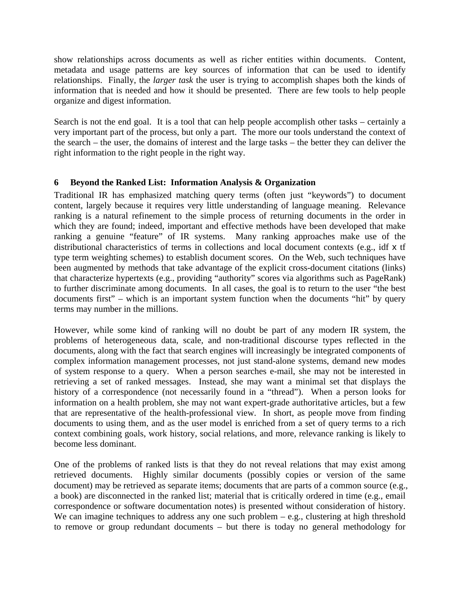show relationships across documents as well as richer entities within documents. Content, metadata and usage patterns are key sources of information that can be used to identify relationships. Finally, the *larger task* the user is trying to accomplish shapes both the kinds of information that is needed and how it should be presented. There are few tools to help people organize and digest information.

Search is not the end goal. It is a tool that can help people accomplish other tasks – certainly a very important part of the process, but only a part. The more our tools understand the context of the search – the user, the domains of interest and the large tasks – the better they can deliver the right information to the right people in the right way.

#### **6 Beyond the Ranked List: Information Analysis & Organization**

Traditional IR has emphasized matching query terms (often just "keywords") to document content, largely because it requires very little understanding of language meaning. Relevance ranking is a natural refinement to the simple process of returning documents in the order in which they are found; indeed, important and effective methods have been developed that make ranking a genuine "feature" of IR systems. Many ranking approaches make use of the distributional characteristics of terms in collections and local document contexts (e.g., idf x tf type term weighting schemes) to establish document scores. On the Web, such techniques have been augmented by methods that take advantage of the explicit cross-document citations (links) that characterize hypertexts (e.g., providing "authority" scores via algorithms such as PageRank) to further discriminate among documents. In all cases, the goal is to return to the user "the best documents first" – which is an important system function when the documents "hit" by query terms may number in the millions.

However, while some kind of ranking will no doubt be part of any modern IR system, the problems of heterogeneous data, scale, and non-traditional discourse types reflected in the documents, along with the fact that search engines will increasingly be integrated components of complex information management processes, not just stand-alone systems, demand new modes of system response to a query. When a person searches e-mail, she may not be interested in retrieving a set of ranked messages. Instead, she may want a minimal set that displays the history of a correspondence (not necessarily found in a "thread"). When a person looks for information on a health problem, she may not want expert-grade authoritative articles, but a few that are representative of the health-professional view. In short, as people move from finding documents to using them, and as the user model is enriched from a set of query terms to a rich context combining goals, work history, social relations, and more, relevance ranking is likely to become less dominant.

One of the problems of ranked lists is that they do not reveal relations that may exist among retrieved documents. Highly similar documents (possibly copies or version of the same document) may be retrieved as separate items; documents that are parts of a common source (e.g., a book) are disconnected in the ranked list; material that is critically ordered in time (e.g., email correspondence or software documentation notes) is presented without consideration of history. We can imagine techniques to address any one such problem  $-$  e.g., clustering at high threshold to remove or group redundant documents – but there is today no general methodology for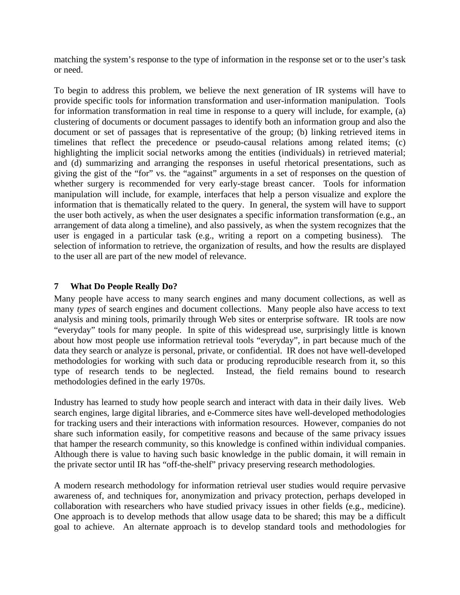matching the system's response to the type of information in the response set or to the user's task or need.

To begin to address this problem, we believe the next generation of IR systems will have to provide specific tools for information transformation and user-information manipulation. Tools for information transformation in real time in response to a query will include, for example, (a) clustering of documents or document passages to identify both an information group and also the document or set of passages that is representative of the group; (b) linking retrieved items in timelines that reflect the precedence or pseudo-causal relations among related items; (c) highlighting the implicit social networks among the entities (individuals) in retrieved material; and (d) summarizing and arranging the responses in useful rhetorical presentations, such as giving the gist of the "for" vs. the "against" arguments in a set of responses on the question of whether surgery is recommended for very early-stage breast cancer. Tools for information manipulation will include, for example, interfaces that help a person visualize and explore the information that is thematically related to the query. In general, the system will have to support the user both actively, as when the user designates a specific information transformation (e.g., an arrangement of data along a timeline), and also passively, as when the system recognizes that the user is engaged in a particular task (e.g., writing a report on a competing business). The selection of information to retrieve, the organization of results, and how the results are displayed to the user all are part of the new model of relevance.

# **7 What Do People Really Do?**

Many people have access to many search engines and many document collections, as well as many *types* of search engines and document collections. Many people also have access to text analysis and mining tools, primarily through Web sites or enterprise software. IR tools are now "everyday" tools for many people. In spite of this widespread use, surprisingly little is known about how most people use information retrieval tools "everyday", in part because much of the data they search or analyze is personal, private, or confidential. IR does not have well-developed methodologies for working with such data or producing reproducible research from it, so this type of research tends to be neglected. Instead, the field remains bound to research methodologies defined in the early 1970s.

Industry has learned to study how people search and interact with data in their daily lives. Web search engines, large digital libraries, and e-Commerce sites have well-developed methodologies for tracking users and their interactions with information resources. However, companies do not share such information easily, for competitive reasons and because of the same privacy issues that hamper the research community, so this knowledge is confined within individual companies. Although there is value to having such basic knowledge in the public domain, it will remain in the private sector until IR has "off-the-shelf" privacy preserving research methodologies.

A modern research methodology for information retrieval user studies would require pervasive awareness of, and techniques for, anonymization and privacy protection, perhaps developed in collaboration with researchers who have studied privacy issues in other fields (e.g., medicine). One approach is to develop methods that allow usage data to be shared; this may be a difficult goal to achieve. An alternate approach is to develop standard tools and methodologies for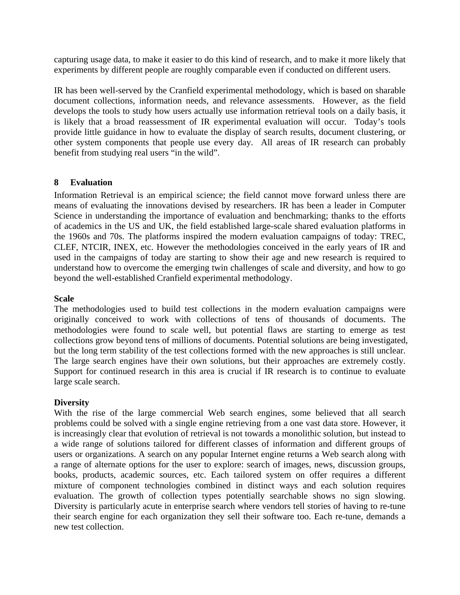capturing usage data, to make it easier to do this kind of research, and to make it more likely that experiments by different people are roughly comparable even if conducted on different users.

IR has been well-served by the Cranfield experimental methodology, which is based on sharable document collections, information needs, and relevance assessments. However, as the field develops the tools to study how users actually use information retrieval tools on a daily basis, it is likely that a broad reassessment of IR experimental evaluation will occur. Today's tools provide little guidance in how to evaluate the display of search results, document clustering, or other system components that people use every day. All areas of IR research can probably benefit from studying real users "in the wild".

#### **8 Evaluation**

Information Retrieval is an empirical science; the field cannot move forward unless there are means of evaluating the innovations devised by researchers. IR has been a leader in Computer Science in understanding the importance of evaluation and benchmarking; thanks to the efforts of academics in the US and UK, the field established large-scale shared evaluation platforms in the 1960s and 70s. The platforms inspired the modern evaluation campaigns of today: TREC, CLEF, NTCIR, INEX, etc. However the methodologies conceived in the early years of IR and used in the campaigns of today are starting to show their age and new research is required to understand how to overcome the emerging twin challenges of scale and diversity, and how to go beyond the well-established Cranfield experimental methodology.

#### **Scale**

The methodologies used to build test collections in the modern evaluation campaigns were originally conceived to work with collections of tens of thousands of documents. The methodologies were found to scale well, but potential flaws are starting to emerge as test collections grow beyond tens of millions of documents. Potential solutions are being investigated, but the long term stability of the test collections formed with the new approaches is still unclear. The large search engines have their own solutions, but their approaches are extremely costly. Support for continued research in this area is crucial if IR research is to continue to evaluate large scale search.

#### **Diversity**

With the rise of the large commercial Web search engines, some believed that all search problems could be solved with a single engine retrieving from a one vast data store. However, it is increasingly clear that evolution of retrieval is not towards a monolithic solution, but instead to a wide range of solutions tailored for different classes of information and different groups of users or organizations. A search on any popular Internet engine returns a Web search along with a range of alternate options for the user to explore: search of images, news, discussion groups, books, products, academic sources, etc. Each tailored system on offer requires a different mixture of component technologies combined in distinct ways and each solution requires evaluation. The growth of collection types potentially searchable shows no sign slowing. Diversity is particularly acute in enterprise search where vendors tell stories of having to re-tune their search engine for each organization they sell their software too. Each re-tune, demands a new test collection.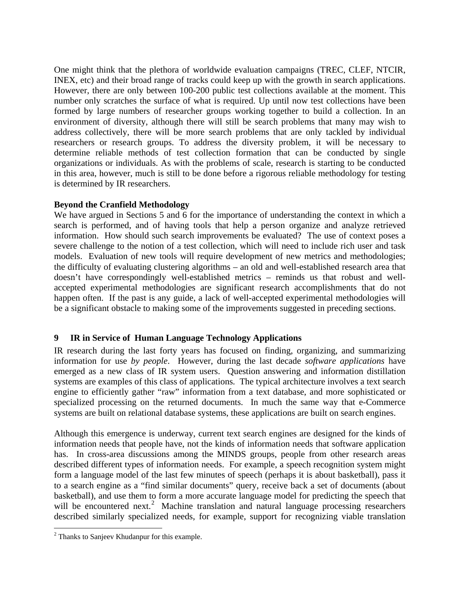One might think that the plethora of worldwide evaluation campaigns (TREC, CLEF, NTCIR, INEX, etc) and their broad range of tracks could keep up with the growth in search applications. However, there are only between 100-200 public test collections available at the moment. This number only scratches the surface of what is required. Up until now test collections have been formed by large numbers of researcher groups working together to build a collection. In an environment of diversity, although there will still be search problems that many may wish to address collectively, there will be more search problems that are only tackled by individual researchers or research groups. To address the diversity problem, it will be necessary to determine reliable methods of test collection formation that can be conducted by single organizations or individuals. As with the problems of scale, research is starting to be conducted in this area, however, much is still to be done before a rigorous reliable methodology for testing is determined by IR researchers.

#### **Beyond the Cranfield Methodology**

We have argued in Sections 5 and 6 for the importance of understanding the context in which a search is performed, and of having tools that help a person organize and analyze retrieved information. How should such search improvements be evaluated? The use of context poses a severe challenge to the notion of a test collection, which will need to include rich user and task models. Evaluation of new tools will require development of new metrics and methodologies; the difficulty of evaluating clustering algorithms – an old and well-established research area that doesn't have correspondingly well-established metrics – reminds us that robust and wellaccepted experimental methodologies are significant research accomplishments that do not happen often. If the past is any guide, a lack of well-accepted experimental methodologies will be a significant obstacle to making some of the improvements suggested in preceding sections.

# **9 IR in Service of Human Language Technology Applications**

IR research during the last forty years has focused on finding, organizing, and summarizing information for use *by people*. However, during the last decade *software applications* have emerged as a new class of IR system users. Question answering and information distillation systems are examples of this class of applications. The typical architecture involves a text search engine to efficiently gather "raw" information from a text database, and more sophisticated or specialized processing on the returned documents. In much the same way that e-Commerce systems are built on relational database systems, these applications are built on search engines.

Although this emergence is underway, current text search engines are designed for the kinds of information needs that people have, not the kinds of information needs that software application has. In cross-area discussions among the MINDS groups, people from other research areas described different types of information needs. For example, a speech recognition system might form a language model of the last few minutes of speech (perhaps it is about basketball), pass it to a search engine as a "find similar documents" query, receive back a set of documents (about basketball), and use them to form a more accurate language model for predicting the speech that will be encountered next.<sup>2</sup> Machine translation and natural language processing researchers described similarly specialized needs, for example, support for recognizing viable translation

 2 Thanks to Sanjeev Khudanpur for this example.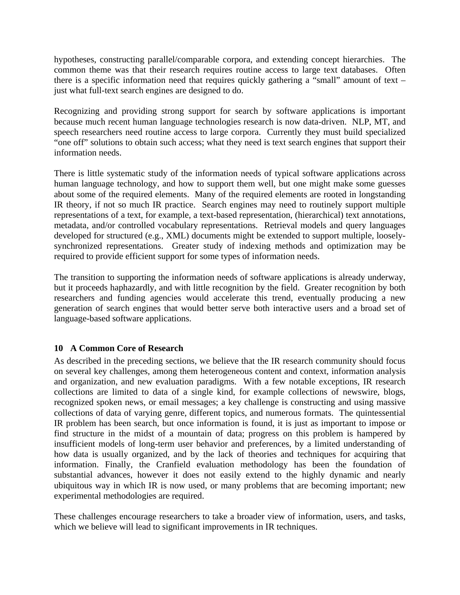hypotheses, constructing parallel/comparable corpora, and extending concept hierarchies. The common theme was that their research requires routine access to large text databases. Often there is a specific information need that requires quickly gathering a "small" amount of text – just what full-text search engines are designed to do.

Recognizing and providing strong support for search by software applications is important because much recent human language technologies research is now data-driven. NLP, MT, and speech researchers need routine access to large corpora. Currently they must build specialized "one off" solutions to obtain such access; what they need is text search engines that support their information needs.

There is little systematic study of the information needs of typical software applications across human language technology, and how to support them well, but one might make some guesses about some of the required elements. Many of the required elements are rooted in longstanding IR theory, if not so much IR practice. Search engines may need to routinely support multiple representations of a text, for example, a text-based representation, (hierarchical) text annotations, metadata, and/or controlled vocabulary representations. Retrieval models and query languages developed for structured (e.g., XML) documents might be extended to support multiple, looselysynchronized representations. Greater study of indexing methods and optimization may be required to provide efficient support for some types of information needs.

The transition to supporting the information needs of software applications is already underway, but it proceeds haphazardly, and with little recognition by the field. Greater recognition by both researchers and funding agencies would accelerate this trend, eventually producing a new generation of search engines that would better serve both interactive users and a broad set of language-based software applications.

# **10 A Common Core of Research**

As described in the preceding sections, we believe that the IR research community should focus on several key challenges, among them heterogeneous content and context, information analysis and organization, and new evaluation paradigms. With a few notable exceptions, IR research collections are limited to data of a single kind, for example collections of newswire, blogs, recognized spoken news, or email messages; a key challenge is constructing and using massive collections of data of varying genre, different topics, and numerous formats. The quintessential IR problem has been search, but once information is found, it is just as important to impose or find structure in the midst of a mountain of data; progress on this problem is hampered by insufficient models of long-term user behavior and preferences, by a limited understanding of how data is usually organized, and by the lack of theories and techniques for acquiring that information. Finally, the Cranfield evaluation methodology has been the foundation of substantial advances, however it does not easily extend to the highly dynamic and nearly ubiquitous way in which IR is now used, or many problems that are becoming important; new experimental methodologies are required.

These challenges encourage researchers to take a broader view of information, users, and tasks, which we believe will lead to significant improvements in IR techniques.